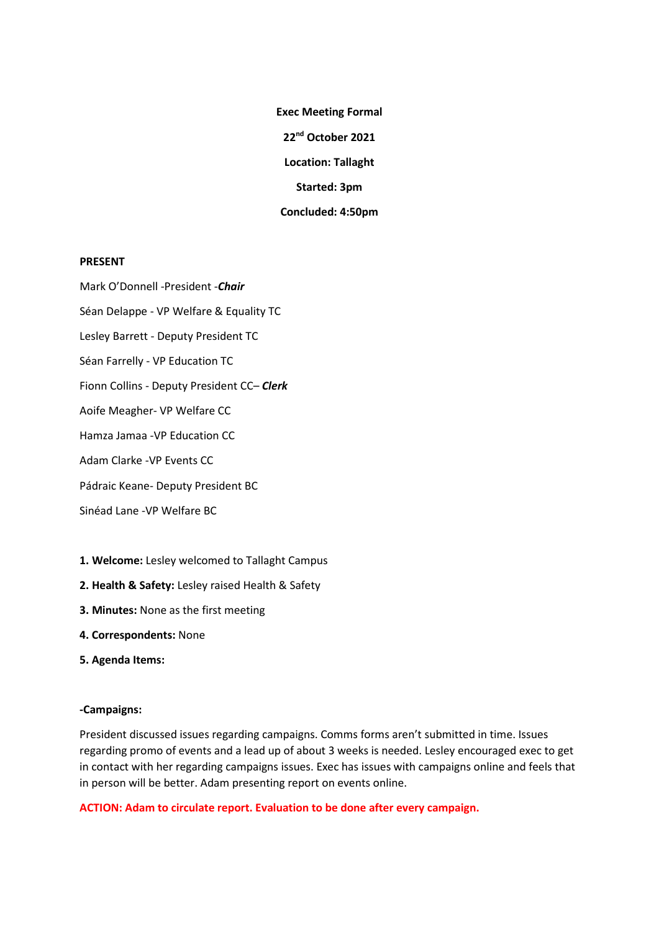**Exec Meeting Formal 22nd October 2021 Location: Tallaght Started: 3pm Concluded: 4:50pm**

### **PRESENT**

Mark O'Donnell -President -*Chair* Séan Delappe - VP Welfare & Equality TC Lesley Barrett - Deputy President TC Séan Farrelly - VP Education TC Fionn Collins - Deputy President CC– *Clerk* Aoife Meagher- VP Welfare CC Hamza Jamaa -VP Education CC Adam Clarke -VP Events CC Pádraic Keane- Deputy President BC Sinéad Lane -VP Welfare BC

- **1. Welcome:** Lesley welcomed to Tallaght Campus
- **2. Health & Safety:** Lesley raised Health & Safety
- **3. Minutes:** None as the first meeting
- **4. Correspondents:** None
- **5. Agenda Items:**

#### **-Campaigns:**

President discussed issues regarding campaigns. Comms forms aren't submitted in time. Issues regarding promo of events and a lead up of about 3 weeks is needed. Lesley encouraged exec to get in contact with her regarding campaigns issues. Exec has issues with campaigns online and feels that in person will be better. Adam presenting report on events online.

**ACTION: Adam to circulate report. Evaluation to be done after every campaign.**